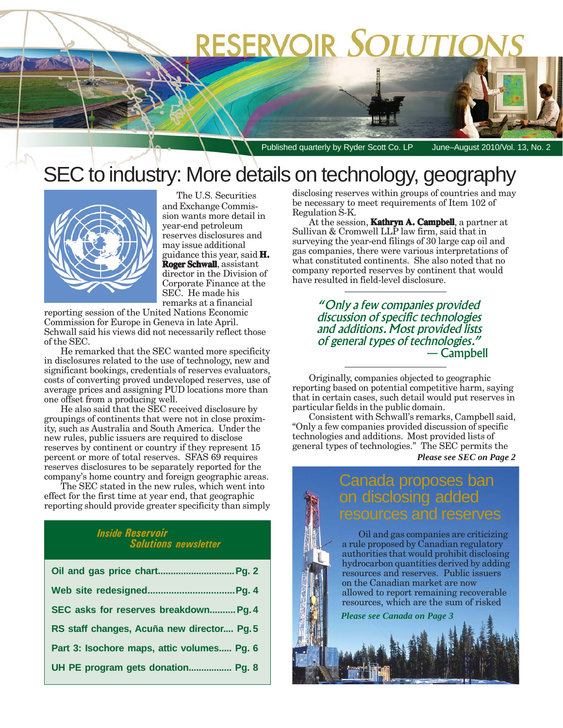# **RESERVOIR SOLUTIO**

Published quarterly by Ryder Scott Co. LP June–August 2010/Vol. 13, No. 2

## SEC to industry: More details on technology, geography



The U.S. Securities and Exchange Commission wants more detail in year-end petroleum reserves disclosures and may issue additional guidance this year, said **H. Roger Schwall Roger** , assistant director in the Division of Corporate Finance at the SEC. He made his remarks at a financial

reporting session of the United Nations Economic Commission for Europe in Geneva in late April. Schwall said his views did not necessarily reflect those of the SEC.

He remarked that the SEC wanted more specificity in disclosures related to the use of technology, new and significant bookings, credentials of reserves evaluators, costs of converting proved undeveloped reserves, use of average prices and assigning PUD locations more than one offset from a producing well.

He also said that the SEC received disclosure by groupings of continents that were not in close proximity, such as Australia and South America. Under the new rules, public issuers are required to disclose reserves by continent or country if they represent 15 percent or more of total reserves. SFAS 69 requires reserves disclosures to be separately reported for the company's home country and foreign geographic areas.

The SEC stated in the new rules, which went into effect for the first time at year end, that geographic reporting should provide greater specificity than simply

#### *Inside Reservoir Solutions newsletter*

| SEC asks for reserves breakdown Pg. 4      |
|--------------------------------------------|
| RS staff changes, Acuña new director Pg.5  |
| Part 3: Isochore maps, attic volumes Pg. 6 |
| UH PE program gets donation Pg. 8          |

disclosing reserves within groups of countries and may be necessary to meet requirements of Item 102 of Regulation S-K.

At the session, **Kathryn A. Campbell**, a partner at Sullivan & Cromwell LLP law firm, said that in surveying the year-end filings of 30 large cap oil and gas companies, there were various interpretations of what constituted continents. She also noted that no company reported reserves by continent that would have resulted in field-level disclosure.

> *"Only a few companies provided discussion of specific technologies and additions. Most provided lists of general types of technologies."* — Campbell

Originally, companies objected to geographic reporting based on potential competitive harm, saying that in certain cases, such detail would put reserves in particular fields in the public domain.

*Please see SEC on Page 2* Consistent with Schwall's remarks, Campbell said, "Only a few companies provided discussion of specific technologies and additions. Most provided lists of general types of technologies." The SEC permits the

### da proposes ban on disclosing added ources and res

Oil and gas companies are criticizing a rule proposed by Canadian regulatory authorities that would prohibit disclosing hydrocarbon quantities derived by adding resources and reserves. Public issuers on the Canadian market are now allowed to report remaining recoverable resources, which are the sum of risked

*Please see Canada on Page 3*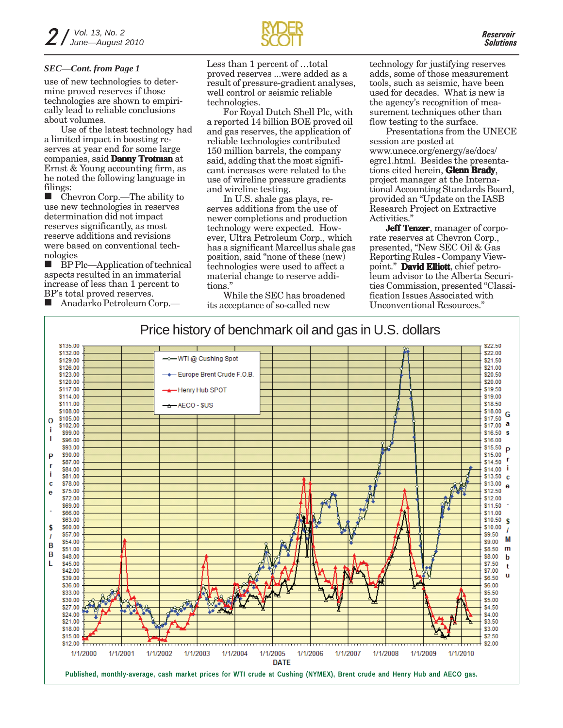use of new technologies to determine proved reserves if those technologies are shown to empirically lead to reliable conclusions about volumes.

Use of the latest technology had a limited impact in boosting reserves at year end for some large companies, said **Danny Trotman** at Ernst & Young accounting firm, as he noted the following language in filings:

 Chevron Corp.—The ability to use new technologies in reserves determination did not impact reserves significantly, as most reserve additions and revisions were based on conventional technologies

 BP Plc—Application of technical aspects resulted in an immaterial increase of less than 1 percent to BP's total proved reserves.

Anadarko Petroleum Corp.—



Less than 1 percent of …total proved reserves ...were added as a result of pressure-gradient analyses, well control or seismic reliable technologies. *SEC—Cont. from Page 1* Less than 1 percent of ...total technology for justifying reserves

For Royal Dutch Shell Plc, with a reported 14 billion BOE proved oil and gas reserves, the application of reliable technologies contributed 150 million barrels, the company said, adding that the most significant increases were related to the use of wireline pressure gradients and wireline testing.

In U.S. shale gas plays, reserves additions from the use of newer completions and production technology were expected. However, Ultra Petroleum Corp., which has a significant Marcellus shale gas position, said "none of these (new) technologies were used to affect a material change to reserve additions."

While the SEC has broadened its acceptance of so-called new

adds, some of those measurement tools, such as seismic, have been used for decades. What is new is the agency's recognition of measurement techniques other than flow testing to the surface.

Presentations from the UNECE session are posted at www.unece.org/energy/se/docs/ egrc1.html. Besides the presentations cited herein, **Glenn Brady**, project manager at the International Accounting Standards Board, provided an "Update on the IASB Research Project on Extractive Activities.'

**Jeff Tenzer**, manager of corporate reserves at Chevron Corp., presented, "New SEC Oil & Gas Reporting Rules - Company Viewpoint." David Elliott, chief petroleum advisor to the Alberta Securities Commission, presented "Classification Issues Associated with Unconventional Resources."

### Price history of benchmark oil and gas in U.S. dollars

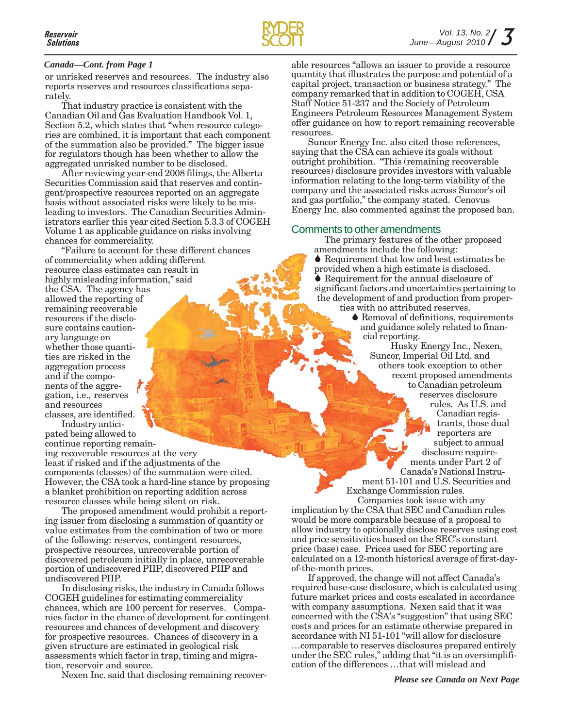

#### *Canada—Cont. from Page 1*

or unrisked reserves and resources. The industry also reports reserves and resources classifications separately.

That industry practice is consistent with the Canadian Oil and Gas Evaluation Handbook Vol. 1, Section 5.2, which states that "when resource categories are combined, it is important that each component of the summation also be provided." The bigger issue for regulators though has been whether to allow the aggregated unrisked number to be disclosed.

After reviewing year-end 2008 filings, the Alberta Securities Commission said that reserves and contingent/prospective resources reported on an aggregate basis without associated risks were likely to be misleading to investors. The Canadian Securities Administrators earlier this year cited Section 5.3.3 of COGEH Volume 1 as applicable guidance on risks involving chances for commerciality.

"Failure to account for these different chances of commerciality when adding different resource class estimates can result in highly misleading information," said the CSA. The agency has allowed the reporting of remaining recoverable resources if the disclosure contains cautionary language on whether those quantities are risked in the aggregation process and if the components of the aggregation, i.e., reserves and resources classes, are identified.

Industry anticipated being allowed to continue reporting remain-

ing recoverable resources at the very least if risked and if the adjustments of the components (classes) of the summation were cited. However, the CSA took a hard-line stance by proposing a blanket prohibition on reporting addition across resource classes while being silent on risk.

The proposed amendment would prohibit a reporting issuer from disclosing a summation of quantity or value estimates from the combination of two or more of the following: reserves, contingent resources, prospective resources, unrecoverable portion of discovered petroleum initially in place, unrecoverable portion of undiscovered PIIP, discovered PIIP and undiscovered PIIP.

In disclosing risks, the industry in Canada follows COGEH guidelines for estimating commerciality chances, which are 100 percent for reserves. Companies factor in the chance of development for contingent resources and chances of development and discovery for prospective resources. Chances of discovery in a given structure are estimated in geological risk assessments which factor in trap, timing and migration, reservoir and source.

Nexen Inc. said that disclosing remaining recover-

able resources "allows an issuer to provide a resource quantity that illustrates the purpose and potential of a capital project, transaction or business strategy." The company remarked that in addition to COGEH, CSA Staff Notice 51-237 and the Society of Petroleum Engineers Petroleum Resources Management System offer guidance on how to report remaining recoverable resources.

Suncor Energy Inc. also cited those references, saying that the CSA can achieve its goals without outright prohibition. "This (remaining recoverable resources) disclosure provides investors with valuable information relating to the long-term viability of the company and the associated risks across Suncor's oil and gas portfolio," the company stated. Cenovus Energy Inc. also commented against the proposed ban.

#### Comments to other amendments

The primary features of the other proposed amendments include the following: ◆ Requirement that low and best estimates be provided when a high estimate is disclosed. ◆ Requirement for the annual disclosure of significant factors and uncertainties pertaining to the development of and production from properties with no attributed reserves.

♦ Removal of definitions, requirements and guidance solely related to financial reporting.

Husky Energy Inc., Nexen, Suncor, Imperial Oil Ltd. and others took exception to other recent proposed amendments to Canadian petroleum reserves disclosure rules. As U.S. and Canadian registrants, those dual reporters are subject to annual disclosure requirements under Part 2 of Canada's National Instrument 51-101 and U.S. Securities and

Exchange Commission rules. Companies took issue with any

implication by the CSA that SEC and Canadian rules would be more comparable because of a proposal to allow industry to optionally disclose reserves using cost and price sensitivities based on the SEC's constant price (base) case. Prices used for SEC reporting are calculated on a 12-month historical average of first-dayof-the-month prices.

If approved, the change will not affect Canada's required base-case disclosure, which is calculated using future market prices and costs escalated in accordance with company assumptions. Nexen said that it was concerned with the CSA's "suggestion" that using SEC costs and prices for an estimate otherwise prepared in accordance with NI 51-101 "will allow for disclosure …comparable to reserves disclosures prepared entirely under the SEC rules," adding that "it is an oversimplification of the differences …that will mislead and

*Please see Canada on Next Page*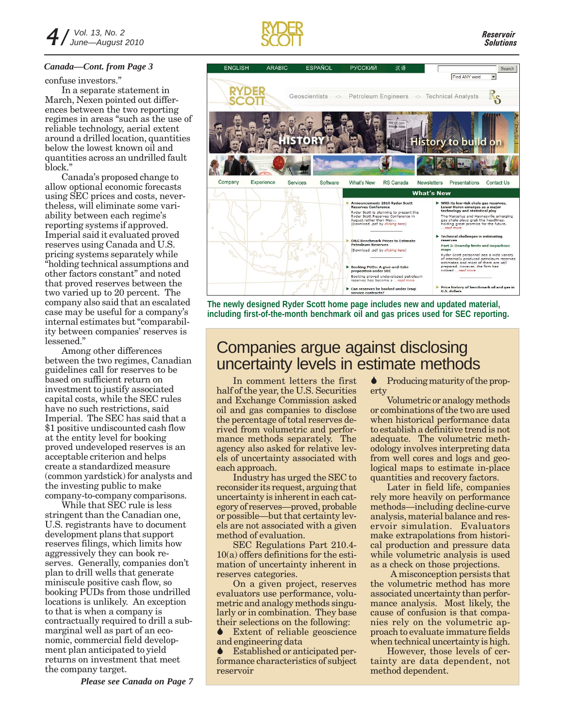#### *Canada—Cont. from Page 3*

confuse investors."

In a separate statement in March, Nexen pointed out differences between the two reporting regimes in areas "such as the use of reliable technology, aerial extent around a drilled location, quantities below the lowest known oil and quantities across an undrilled fault block."

Canada's proposed change to allow optional economic forecasts using SEC prices and costs, nevertheless, will eliminate some variability between each regime's reporting systems if approved. Imperial said it evaluated proved reserves using Canada and U.S. pricing systems separately while "holding technical assumptions and other factors constant" and noted that proved reserves between the two varied up to 20 percent. The company also said that an escalated case may be useful for a company's internal estimates but "comparability between companies' reserves is lessened."

Among other differences between the two regimes, Canadian guidelines call for reserves to be based on sufficient return on investment to justify associated capital costs, while the SEC rules have no such restrictions, said Imperial. The SEC has said that a \$1 positive undiscounted cash flow at the entity level for booking proved undeveloped reserves is an acceptable criterion and helps create a standardized measure (common yardstick) for analysts and the investing public to make company-to-company comparisons.

While that SEC rule is less stringent than the Canadian one, U.S. registrants have to document development plans that support reserves filings, which limits how aggressively they can book reserves. Generally, companies don't plan to drill wells that generate miniscule positive cash flow, so booking PUDs from those undrilled locations is unlikely. An exception to that is when a company is contractually required to drill a submarginal well as part of an economic, commercial field development plan anticipated to yield returns on investment that meet the company target.

*Please see Canada on Page 7*





**The newly designed Ryder Scott home page includes new and updated material, including first-of-the-month benchmark oil and gas prices used for SEC reporting.**

## Companies argue against disclosing uncertainty levels in estimate methods

In comment letters the first half of the year, the U.S. Securities and Exchange Commission asked oil and gas companies to disclose the percentage of total reserves derived from volumetric and performance methods separately. The agency also asked for relative levels of uncertainty associated with each approach.

Industry has urged the SEC to reconsider its request, arguing that uncertainty is inherent in each category of reserves—proved, probable or possible—but that certainty levels are not associated with a given method of evaluation.

SEC Regulations Part 210.4- 10(a) offers definitions for the estimation of uncertainty inherent in reserves categories.

On a given project, reserves evaluators use performance, volumetric and analogy methods singularly or in combination. They base their selections on the following:

**↓** Extent of reliable geoscience and engineering data

 Established or anticipated performance characteristics of subject reservoir

• Producing maturity of the property

Volumetric or analogy methods or combinations of the two are used when historical performance data to establish a definitive trend is not adequate. The volumetric methodology involves interpreting data from well cores and logs and geological maps to estimate in-place quantities and recovery factors.

Later in field life, companies rely more heavily on performance methods—including decline-curve analysis, material balance and reservoir simulation. Evaluators make extrapolations from historical production and pressure data while volumetric analysis is used as a check on those projections.

 A misconception persists that the volumetric method has more associated uncertainty than performance analysis. Most likely, the cause of confusion is that companies rely on the volumetric approach to evaluate immature fields when technical uncertainty is high.

However, those levels of certainty are data dependent, not method dependent.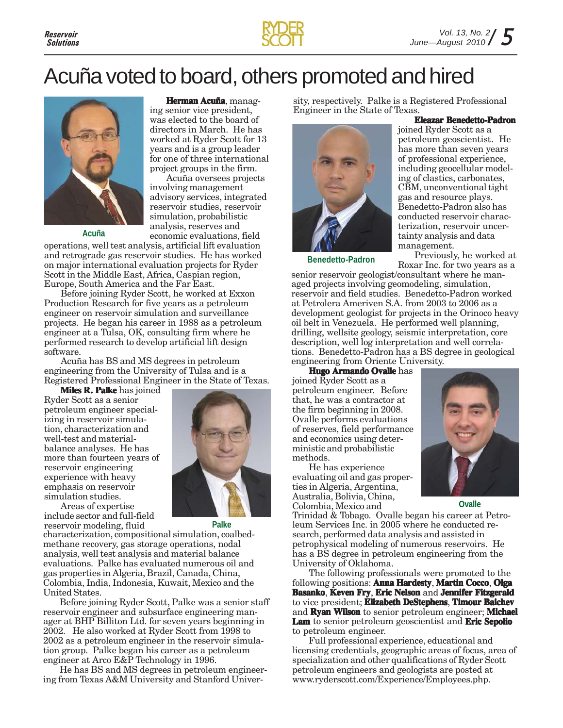

**Eleazar Benedetto-Padron**

## Acuña voted to board, others promoted and hired



**Acuña**

**Herman Acuña**, managing senior vice president, was elected to the board of directors in March. He has worked at Ryder Scott for 13 years and is a group leader for one of three international project groups in the firm.

Acuña oversees projects involving management advisory services, integrated reservoir studies, reservoir simulation, probabilistic analysis, reserves and economic evaluations, field

operations, well test analysis, artificial lift evaluation and retrograde gas reservoir studies. He has worked on major international evaluation projects for Ryder Scott in the Middle East, Africa, Caspian region, Europe, South America and the Far East.

Before joining Ryder Scott, he worked at Exxon Production Research for five years as a petroleum engineer on reservoir simulation and surveillance projects. He began his career in 1988 as a petroleum engineer at a Tulsa, OK, consulting firm where he performed research to develop artificial lift design software.

Acuña has BS and MS degrees in petroleum engineering from the University of Tulsa and is a Registered Professional Engineer in the State of Texas.

**Miles R. Palke** has joined Ryder Scott as a senior petroleum engineer specializing in reservoir simulation, characterization and well-test and materialbalance analyses. He has more than fourteen years of reservoir engineering experience with heavy emphasis on reservoir simulation studies.



Areas of expertise include sector and full-field reservoir modeling, fluid **Palke**

characterization, compositional simulation, coalbedmethane recovery, gas storage operations, nodal analysis, well test analysis and material balance evaluations. Palke has evaluated numerous oil and gas properties in Algeria, Brazil, Canada, China, Colombia, India, Indonesia, Kuwait, Mexico and the United States.

Before joining Ryder Scott, Palke was a senior staff reservoir engineer and subsurface engineering manager at BHP Billiton Ltd. for seven years beginning in 2002. He also worked at Ryder Scott from 1998 to 2002 as a petroleum engineer in the reservoir simulation group. Palke began his career as a petroleum engineer at Arco E&P Technology in 1996.

He has BS and MS degrees in petroleum engineering from Texas A&M University and Stanford University, respectively. Palke is a Registered Professional Engineer in the State of Texas.



joined Ryder Scott as a petroleum geoscientist. He has more than seven years of professional experience, including geocellular modeling of clastics, carbonates, CBM, unconventional tight gas and resource plays. Benedetto-Padron also has conducted reservoir characterization, reservoir uncertainty analysis and data management.

Previously, he worked at Roxar Inc. for two years as a **Benedetto-Padron** senior reservoir geologist/consultant where he man-

aged projects involving geomodeling, simulation, reservoir and field studies. Benedetto-Padron worked at Petrolera Ameriven S.A. from 2003 to 2006 as a development geologist for projects in the Orinoco heavy oil belt in Venezuela. He performed well planning, drilling, wellsite geology, seismic interpretation, core description, well log interpretation and well correlations. Benedetto-Padron has a BS degree in geological engineering from Oriente University.

**Hugo Armando Ovalle** has joined Ryder Scott as a petroleum engineer. Before that, he was a contractor at the firm beginning in 2008. Ovalle performs evaluations of reserves, field performance and economics using deterministic and probabilistic methods.

He has experience evaluating oil and gas properties in Algeria, Argentina, Australia, Bolivia, China, Colombia, Mexico and

Trinidad & Tobago. Ovalle began his career at Petroleum Services Inc. in 2005 where he conducted research, performed data analysis and assisted in petrophysical modeling of numerous reservoirs. He has a BS degree in petroleum engineering from the University of Oklahoma.

The following professionals were promoted to the following positions: **Anna Hardesty**, **Martin Cocco**, **Olga Basanko**, **Keven Fry**, **Eric Nelson** and **Jennifer Fitzgerald** to vice president; **Elizabeth DeStephens**, **Timour Baichev** and **Ryan Wilson** to senior petroleum engineer; **Michael Lam** to senior petroleum geoscientist and **Eric Sepolio** to petroleum engineer.

Full professional experience, educational and licensing credentials, geographic areas of focus, area of specialization and other qualifications of Ryder Scott petroleum engineers and geologists are posted at www.ryderscott.com/Experience/Employees.php.



**Ovalle**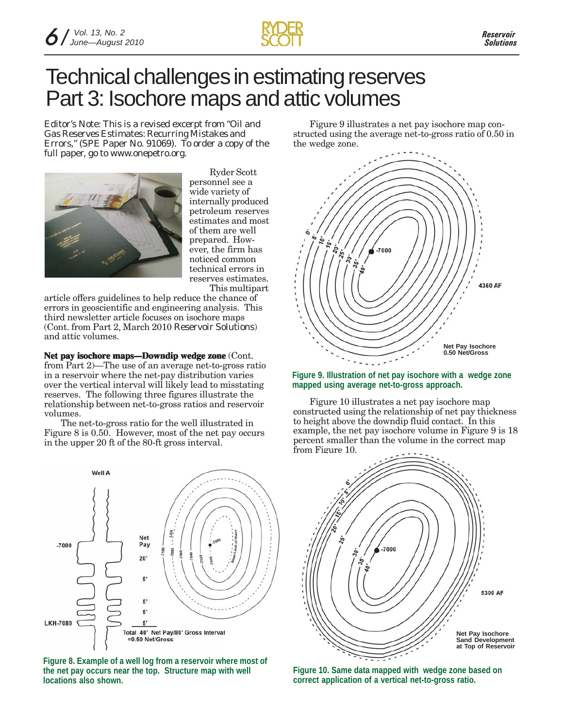

## Technical challenges in estimating reserves Part 3: Isochore maps and attic volumes

*Editor's Note: This is a revised excerpt from "Oil and Gas Reserves Estimates: Recurring Mistakes and Errors," (SPE Paper No. 91069). To order a copy of the full paper, go to www.onepetro.org.*



Ryder Scott personnel see a wide variety of internally produced petroleum reserves estimates and most of them are well prepared. However, the firm has noticed common technical errors in reserves estimates. This multipart

article offers guidelines to help reduce the chance of errors in geoscientific and engineering analysis. This third newsletter article focuses on isochore maps (Cont. from Part 2, March 2010 *Reservoir Solutions*) and attic volumes.

**Net pay isochore maps—Downdip wedge zone (Cont.** from Part 2)—The use of an average net-to-gross ratio in a reservoir where the net-pay distribution varies over the vertical interval will likely lead to misstating reserves. The following three figures illustrate the relationship between net-to-gross ratios and reservoir volumes.

The net-to-gross ratio for the well illustrated in Figure 8 is 0.50. However, most of the net pay occurs in the upper 20 ft of the 80-ft gross interval.



**Figure 8. Example of a well log from a reservoir where most of the net pay occurs near the top. Structure map with well locations also shown.**

Figure 9 illustrates a net pay isochore map constructed using the average net-to-gross ratio of 0.50 in the wedge zone.



**Figure 9. Illustration of net pay isochore with a wedge zone mapped using average net-to-gross approach.**

Figure 10 illustrates a net pay isochore map constructed using the relationship of net pay thickness to height above the downdip fluid contact. In this example, the net pay isochore volume in Figure 9 is 18 percent smaller than the volume in the correct map from Figure 10.



**Figure 10. Same data mapped with wedge zone based on correct application of a vertical net-to-gross ratio.**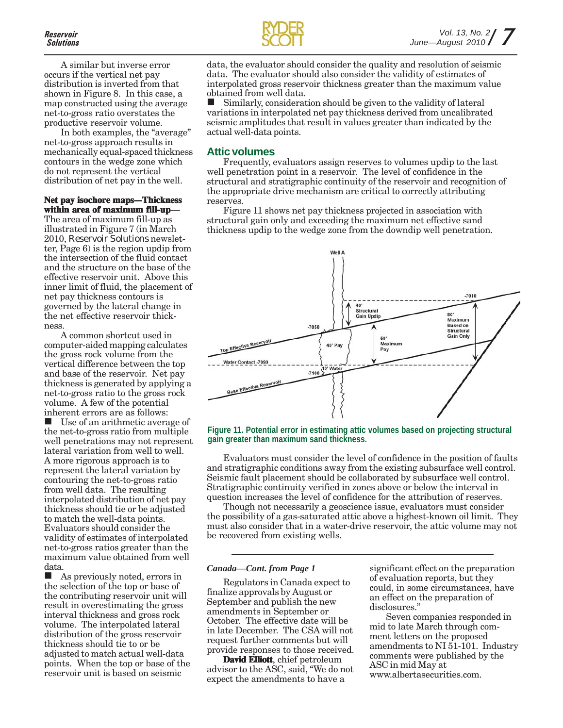A similar but inverse error occurs if the vertical net pay distribution is inverted from that shown in Figure 8. In this case, a map constructed using the average net-to-gross ratio overstates the productive reservoir volume.

In both examples, the "average" net-to-gross approach results in mechanically equal-spaced thickness contours in the wedge zone which do not represent the vertical distribution of net pay in the well.

#### **Net pay isochore maps—Thickness within area of maximum fill-up**—

The area of maximum fill-up as illustrated in Figure 7 (in March 2010, *Reservoir Solutions* newsletter, Page 6) is the region updip from the intersection of the fluid contact and the structure on the base of the effective reservoir unit. Above this inner limit of fluid, the placement of net pay thickness contours is governed by the lateral change in the net effective reservoir thickness.

A common shortcut used in computer-aided mapping calculates the gross rock volume from the vertical difference between the top and base of the reservoir. Net pay thickness is generated by applying a net-to-gross ratio to the gross rock volume. A few of the potential inherent errors are as follows:

 Use of an arithmetic average of the net-to-gross ratio from multiple well penetrations may not represent lateral variation from well to well. A more rigorous approach is to represent the lateral variation by contouring the net-to-gross ratio from well data. The resulting interpolated distribution of net pay thickness should tie or be adjusted to match the well-data points. Evaluators should consider the validity of estimates of interpolated net-to-gross ratios greater than the maximum value obtained from well data.

■ As previously noted, errors in the selection of the top or base of the contributing reservoir unit will result in overestimating the gross interval thickness and gross rock volume. The interpolated lateral distribution of the gross reservoir thickness should tie to or be adjusted to match actual well-data points. When the top or base of the reservoir unit is based on seismic



data, the evaluator should consider the quality and resolution of seismic data. The evaluator should also consider the validity of estimates of interpolated gross reservoir thickness greater than the maximum value obtained from well data.

 Similarly, consideration should be given to the validity of lateral variations in interpolated net pay thickness derived from uncalibrated seismic amplitudes that result in values greater than indicated by the actual well-data points.

#### **Attic volumes**

Frequently, evaluators assign reserves to volumes updip to the last well penetration point in a reservoir. The level of confidence in the structural and stratigraphic continuity of the reservoir and recognition of the appropriate drive mechanism are critical to correctly attributing reserves.

Figure 11 shows net pay thickness projected in association with structural gain only and exceeding the maximum net effective sand thickness updip to the wedge zone from the downdip well penetration.



**Figure 11. Potential error in estimating attic volumes based on projecting structural gain greater than maximum sand thickness.**

Evaluators must consider the level of confidence in the position of faults and stratigraphic conditions away from the existing subsurface well control. Seismic fault placement should be collaborated by subsurface well control. Stratigraphic continuity verified in zones above or below the interval in question increases the level of confidence for the attribution of reserves.

Though not necessarily a geoscience issue, evaluators must consider the possibility of a gas-saturated attic above a highest-known oil limit. They must also consider that in a water-drive reservoir, the attic volume may not be recovered from existing wells.

#### *Canada—Cont. from Page 1*

Regulators in Canada expect to finalize approvals by August or September and publish the new amendments in September or October. The effective date will be in late December. The CSA will not request further comments but will provide responses to those received.

**David Elliott**, chief petroleum advisor to the ASC, said, "We do not expect the amendments to have a

significant effect on the preparation of evaluation reports, but they could, in some circumstances, have an effect on the preparation of disclosures."

Seven companies responded in mid to late March through comment letters on the proposed amendments to NI 51-101. Industry comments were published by the ASC in mid May at www.albertasecurities.com.